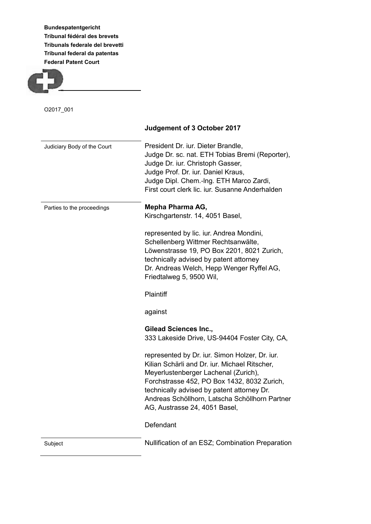**Bundespatentgericht Tribunal fédéral des brevets Tribunals federale del brevetti Tribunal federal da patentas Federal Patent Court**



O2017\_001

|                             | Judgement of 3 October 2017                                                                                                                                                                                                                                                                                             |
|-----------------------------|-------------------------------------------------------------------------------------------------------------------------------------------------------------------------------------------------------------------------------------------------------------------------------------------------------------------------|
| Judiciary Body of the Court | President Dr. iur. Dieter Brandle,<br>Judge Dr. sc. nat. ETH Tobias Bremi (Reporter),<br>Judge Dr. iur. Christoph Gasser,<br>Judge Prof. Dr. iur. Daniel Kraus,<br>Judge Dipl. Chem.-Ing. ETH Marco Zardi,<br>First court clerk lic. iur. Susanne Anderhalden                                                           |
| Parties to the proceedings  | Mepha Pharma AG,<br>Kirschgartenstr. 14, 4051 Basel,                                                                                                                                                                                                                                                                    |
|                             | represented by lic. iur. Andrea Mondini,<br>Schellenberg Wittmer Rechtsanwälte,<br>Löwenstrasse 19, PO Box 2201, 8021 Zurich,<br>technically advised by patent attorney<br>Dr. Andreas Welch, Hepp Wenger Ryffel AG,<br>Friedtalweg 5, 9500 Wil,                                                                        |
|                             | Plaintiff                                                                                                                                                                                                                                                                                                               |
|                             | against                                                                                                                                                                                                                                                                                                                 |
|                             | <b>Gilead Sciences Inc.,</b><br>333 Lakeside Drive, US-94404 Foster City, CA,                                                                                                                                                                                                                                           |
|                             | represented by Dr. iur. Simon Holzer, Dr. iur.<br>Kilian Schärli and Dr. iur. Michael Ritscher,<br>Meyerlustenberger Lachenal (Zurich),<br>Forchstrasse 452, PO Box 1432, 8032 Zurich,<br>technically advised by patent attorney Dr.<br>Andreas Schöllhorn, Latscha Schöllhorn Partner<br>AG, Austrasse 24, 4051 Basel, |
|                             | Defendant                                                                                                                                                                                                                                                                                                               |
| Subject                     | Nullification of an ESZ; Combination Preparation                                                                                                                                                                                                                                                                        |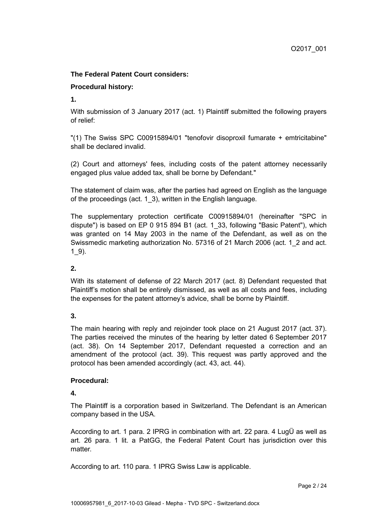### **The Federal Patent Court considers:**

### **Procedural history:**

**1.**

With submission of 3 January 2017 (act. 1) Plaintiff submitted the following prayers of relief:

"(1) The Swiss SPC C00915894/01 "tenofovir disoproxil fumarate + emtricitabine" shall be declared invalid.

(2) Court and attorneys' fees, including costs of the patent attorney necessarily engaged plus value added tax, shall be borne by Defendant."

The statement of claim was, after the parties had agreed on English as the language of the proceedings (act. 1\_3), written in the English language.

The supplementary protection certificate C00915894/01 (hereinafter "SPC in dispute") is based on EP 0 915 894 B1 (act. 1\_33, following "Basic Patent"), which was granted on 14 May 2003 in the name of the Defendant, as well as on the Swissmedic marketing authorization No. 57316 of 21 March 2006 (act. 1\_2 and act.  $1\,9$ ).

# **2.**

With its statement of defense of 22 March 2017 (act. 8) Defendant requested that Plaintiff's motion shall be entirely dismissed, as well as all costs and fees, including the expenses for the patent attorney's advice, shall be borne by Plaintiff.

# **3.**

The main hearing with reply and rejoinder took place on 21 August 2017 (act. 37). The parties received the minutes of the hearing by letter dated 6 September 2017 (act. 38). On 14 September 2017, Defendant requested a correction and an amendment of the protocol (act. 39). This request was partly approved and the protocol has been amended accordingly (act. 43, act. 44).

# **Procedural:**

**4.**

The Plaintiff is a corporation based in Switzerland. The Defendant is an American company based in the USA.

According to art. 1 para. 2 IPRG in combination with art. 22 para. 4 LugÜ as well as art. 26 para. 1 lit. a PatGG, the Federal Patent Court has jurisdiction over this matter.

According to art. 110 para. 1 IPRG Swiss Law is applicable.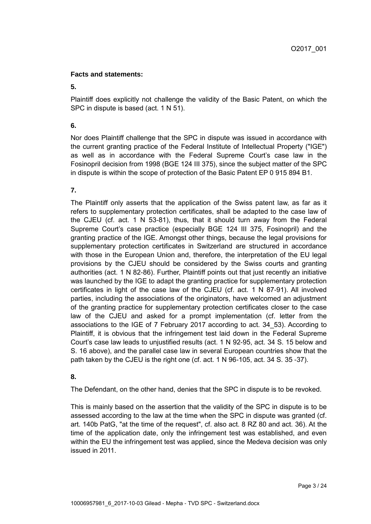### **Facts and statements:**

#### **5.**

Plaintiff does explicitly not challenge the validity of the Basic Patent, on which the SPC in dispute is based (act. 1 N 51).

### **6.**

Nor does Plaintiff challenge that the SPC in dispute was issued in accordance with the current granting practice of the Federal Institute of Intellectual Property ("IGE") as well as in accordance with the Federal Supreme Court's case law in the Fosinopril decision from 1998 (BGE 124 III 375), since the subject matter of the SPC in dispute is within the scope of protection of the Basic Patent EP 0 915 894 B1.

# **7.**

The Plaintiff only asserts that the application of the Swiss patent law, as far as it refers to supplementary protection certificates, shall be adapted to the case law of the CJEU (cf. act. 1 N 53-81), thus, that it should turn away from the Federal Supreme Court's case practice (especially BGE 124 III 375, Fosinopril) and the granting practice of the IGE. Amongst other things, because the legal provisions for supplementary protection certificates in Switzerland are structured in accordance with those in the European Union and, therefore, the interpretation of the EU legal provisions by the CJEU should be considered by the Swiss courts and granting authorities (act. 1 N 82-86). Further, Plaintiff points out that just recently an initiative was launched by the IGE to adapt the granting practice for supplementary protection certificates in light of the case law of the CJEU (cf. act. 1 N 87-91). All involved parties, including the associations of the originators, have welcomed an adjustment of the granting practice for supplementary protection certificates closer to the case law of the CJEU and asked for a prompt implementation (cf. letter from the associations to the IGE of 7 February 2017 according to act. 34\_53). According to Plaintiff, it is obvious that the infringement test laid down in the Federal Supreme Court's case law leads to unjustified results (act. 1 N 92-95, act. 34 S. 15 below and S. 16 above), and the parallel case law in several European countries show that the path taken by the CJEU is the right one (cf. act. 1 N 96-105, act. 34 S. 35 -37).

# **8.**

The Defendant, on the other hand, denies that the SPC in dispute is to be revoked.

This is mainly based on the assertion that the validity of the SPC in dispute is to be assessed according to the law at the time when the SPC in dispute was granted (cf. art. 140b PatG, "at the time of the request", cf. also act. 8 RZ 80 and act. 36). At the time of the application date, only the infringement test was established, and even within the EU the infringement test was applied, since the Medeva decision was only issued in 2011.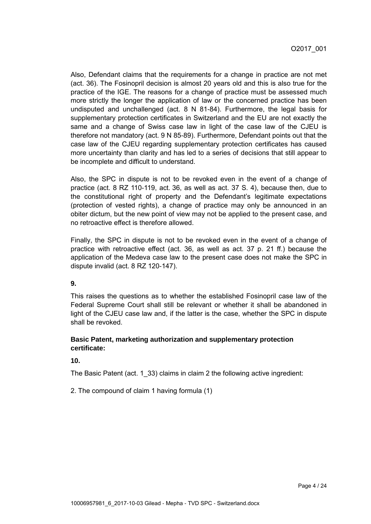Also, Defendant claims that the requirements for a change in practice are not met (act. 36). The Fosinopril decision is almost 20 years old and this is also true for the practice of the IGE. The reasons for a change of practice must be assessed much more strictly the longer the application of law or the concerned practice has been undisputed and unchallenged (act. 8 N 81-84). Furthermore, the legal basis for supplementary protection certificates in Switzerland and the EU are not exactly the same and a change of Swiss case law in light of the case law of the CJEU is therefore not mandatory (act. 9 N 85-89). Furthermore, Defendant points out that the case law of the CJEU regarding supplementary protection certificates has caused more uncertainty than clarity and has led to a series of decisions that still appear to be incomplete and difficult to understand.

Also, the SPC in dispute is not to be revoked even in the event of a change of practice (act. 8 RZ 110-119, act. 36, as well as act. 37 S. 4), because then, due to the constitutional right of property and the Defendant's legitimate expectations (protection of vested rights), a change of practice may only be announced in an obiter dictum, but the new point of view may not be applied to the present case, and no retroactive effect is therefore allowed.

Finally, the SPC in dispute is not to be revoked even in the event of a change of practice with retroactive effect (act. 36, as well as act. 37 p. 21 ff.) because the application of the Medeva case law to the present case does not make the SPC in dispute invalid (act. 8 RZ 120-147).

#### **9.**

This raises the questions as to whether the established Fosinopril case law of the Federal Supreme Court shall still be relevant or whether it shall be abandoned in light of the CJEU case law and, if the latter is the case, whether the SPC in dispute shall be revoked.

### **Basic Patent, marketing authorization and supplementary protection certificate:**

#### **10.**

The Basic Patent (act. 1\_33) claims in claim 2 the following active ingredient:

2. The compound of claim 1 having formula (1)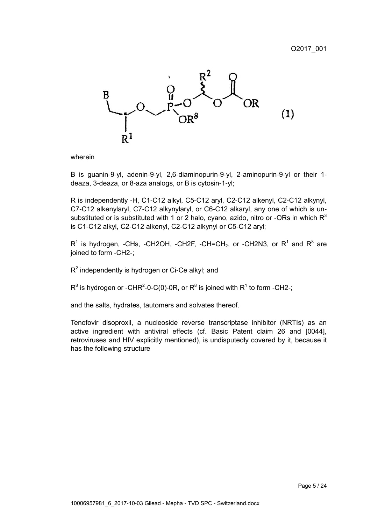

wherein

B is guanin-9-yl, adenin-9-yl, 2,6-diaminopurin-9-yl, 2-aminopurin-9-yl or their 1 deaza, 3-deaza, or 8-aza analogs, or B is cytosin-1-yl;

R is independently -H, C1-C12 alkyl, C5-C12 aryl, C2-C12 alkenyl, C2-C12 alkynyl, C7-C12 alkenylaryl, C7-C12 alkynylaryl, or C6-C12 alkaryl, any one of which is unsubstituted or is substituted with 1 or 2 halo, cyano, azido, nitro or -ORs in which  $R<sup>3</sup>$ is C1-C12 alkyl, C2-C12 alkenyl, C2-C12 alkynyl or C5-C12 aryl;

 $R^1$  is hydrogen, -CHs, -CH2OH, -CH2F, -CH=CH<sub>2</sub>, or -CH2N3, or  $R^1$  and  $R^8$  are joined to form -CH2-;

 $R^2$  independently is hydrogen or Ci-Ce alkyl; and

 $R^8$  is hydrogen or -CHR<sup>2</sup>-0-C(0)-0R, or  $R^8$  is joined with  $R^1$  to form -CH2-;

and the salts, hydrates, tautomers and solvates thereof.

Tenofovir disoproxil, a nucleoside reverse transcriptase inhibitor (NRTIs) as an active ingredient with antiviral effects (cf. Basic Patent claim 26 and [0044], retroviruses and HIV explicitly mentioned), is undisputedly covered by it, because it has the following structure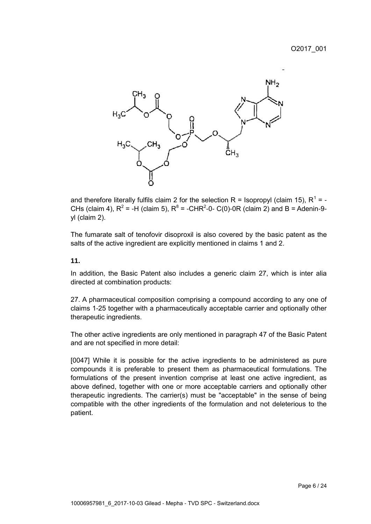

and therefore literally fulfils claim 2 for the selection R = Isopropyl (claim 15), R<sup>1</sup> = -CHs (claim 4),  $R^2$  = -H (claim 5),  $R^8$  = -CHR<sup>2</sup>-0- C(0)-0R (claim 2) and B = Adenin-9yl (claim 2).

The fumarate salt of tenofovir disoproxil is also covered by the basic patent as the salts of the active ingredient are explicitly mentioned in claims 1 and 2.

#### **11.**

In addition, the Basic Patent also includes a generic claim 27, which is inter alia directed at combination products:

27. A pharmaceutical composition comprising a compound according to any one of claims 1-25 together with a pharmaceutically acceptable carrier and optionally other therapeutic ingredients.

The other active ingredients are only mentioned in paragraph 47 of the Basic Patent and are not specified in more detail:

[0047] While it is possible for the active ingredients to be administered as pure compounds it is preferable to present them as pharmaceutical formulations. The formulations of the present invention comprise at least one active ingredient, as above defined, together with one or more acceptable carriers and optionally other therapeutic ingredients. The carrier(s) must be "acceptable" in the sense of being compatible with the other ingredients of the formulation and not deleterious to the patient.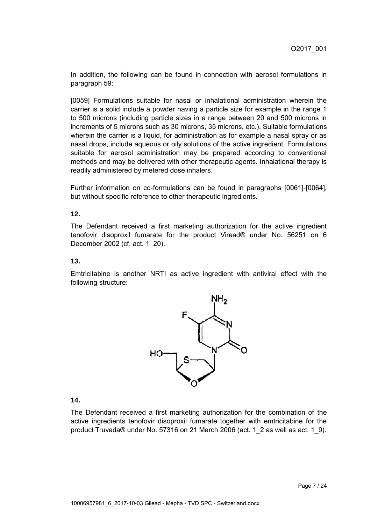In addition, the following can be found in connection with aerosol formulations in paragraph 59:

[0059] Formulations suitable for nasal or inhalational administration wherein the carrier is a solid include a powder having a particle size for example in the range 1 to 500 microns (including particle sizes in a range between 20 and 500 microns in increments of 5 microns such as 30 microns, 35 microns, etc.). Suitable formulations wherein the carrier is a liquid, for administration as for example a nasal spray or as nasal drops, include aqueous or oily solutions of the active ingredient. Formulations suitable for aerosol administration may be prepared according to conventional methods and may be delivered with other therapeutic agents. Inhalational therapy is readily administered by metered dose inhalers.

Further information on co-formulations can be found in paragraphs [0061]-[0064], but without specific reference to other therapeutic ingredients.

#### **12.**

The Defendant received a first marketing authorization for the active ingredient tenofovir disoproxil fumarate for the product Viread® under No. 56251 on 6 December 2002 (cf. act. 1\_20).

#### **13.**

Emtricitabine is another NRTI as active ingredient with antiviral effect with the following structure:



#### **14.**

The Defendant received a first marketing authorization for the combination of the active ingredients tenofovir disoproxil fumarate together with emtricitabine for the product Truvada® under No. 57316 on 21 March 2006 (act. 1\_2 as well as act. 1\_9).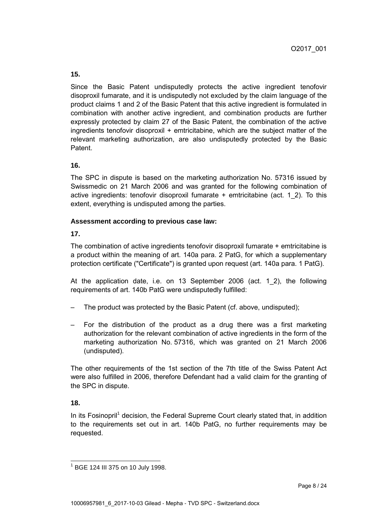Since the Basic Patent undisputedly protects the active ingredient tenofovir disoproxil fumarate, and it is undisputedly not excluded by the claim language of the product claims 1 and 2 of the Basic Patent that this active ingredient is formulated in combination with another active ingredient, and combination products are further expressly protected by claim 27 of the Basic Patent, the combination of the active ingredients tenofovir disoproxil + emtricitabine, which are the subject matter of the relevant marketing authorization, are also undisputedly protected by the Basic Patent.

### **16.**

The SPC in dispute is based on the marketing authorization No. 57316 issued by Swissmedic on 21 March 2006 and was granted for the following combination of active ingredients: tenofovir disoproxil fumarate  $+$  emtricitabine (act. 1 2). To this extent, everything is undisputed among the parties.

#### **Assessment according to previous case law:**

**17.**

The combination of active ingredients tenofovir disoproxil fumarate  $+$  emtricitabine is a product within the meaning of art. 140a para. 2 PatG, for which a supplementary protection certificate ("Certificate") is granted upon request (art. 140a para. 1 PatG).

At the application date, i.e. on 13 September 2006 (act. 1\_2), the following requirements of art. 140b PatG were undisputedly fulfilled:

- The product was protected by the Basic Patent (cf. above, undisputed);
- For the distribution of the product as a drug there was a first marketing authorization for the relevant combination of active ingredients in the form of the marketing authorization No. 57316, which was granted on 21 March 2006 (undisputed).

The other requirements of the 1st section of the 7th title of the Swiss Patent Act were also fulfilled in 2006, therefore Defendant had a valid claim for the granting of the SPC in dispute.

# **18.**

In its Fosinopril<sup>1</sup> decision, the Federal Supreme Court clearly stated that, in addition to the requirements set out in art. 140b PatG, no further requirements may be requested.

 $\overline{\phantom{a}}$ <sup>1</sup> BGE 124 III 375 on 10 July 1998.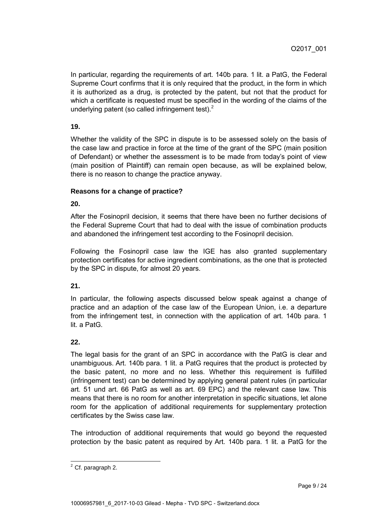In particular, regarding the requirements of art. 140b para. 1 lit. a PatG, the Federal Supreme Court confirms that it is only required that the product, in the form in which it is authorized as a drug, is protected by the patent, but not that the product for which a certificate is requested must be specified in the wording of the claims of the underlying patent (so called infringement test). $2$ 

### **19.**

Whether the validity of the SPC in dispute is to be assessed solely on the basis of the case law and practice in force at the time of the grant of the SPC (main position of Defendant) or whether the assessment is to be made from today's point of view (main position of Plaintiff) can remain open because, as will be explained below, there is no reason to change the practice anyway.

### **Reasons for a change of practice?**

**20.**

After the Fosinopril decision, it seems that there have been no further decisions of the Federal Supreme Court that had to deal with the issue of combination products and abandoned the infringement test according to the Fosinopril decision.

Following the Fosinopril case law the IGE has also granted supplementary protection certificates for active ingredient combinations, as the one that is protected by the SPC in dispute, for almost 20 years.

### **21.**

In particular, the following aspects discussed below speak against a change of practice and an adaption of the case law of the European Union, i.e. a departure from the infringement test, in connection with the application of art. 140b para. 1 lit. a PatG.

#### **22.**

The legal basis for the grant of an SPC in accordance with the PatG is clear and unambiguous. Art. 140b para. 1 lit. a PatG requires that the product is protected by the basic patent, no more and no less. Whether this requirement is fulfilled (infringement test) can be determined by applying general patent rules (in particular art. 51 und art. 66 PatG as well as art. 69 EPC) and the relevant case law. This means that there is no room for another interpretation in specific situations, let alone room for the application of additional requirements for supplementary protection certificates by the Swiss case law.

The introduction of additional requirements that would go beyond the requested protection by the basic patent as required by Art. 140b para. 1 lit. a PatG for the

  $<sup>2</sup>$  Cf. paragraph 2.</sup>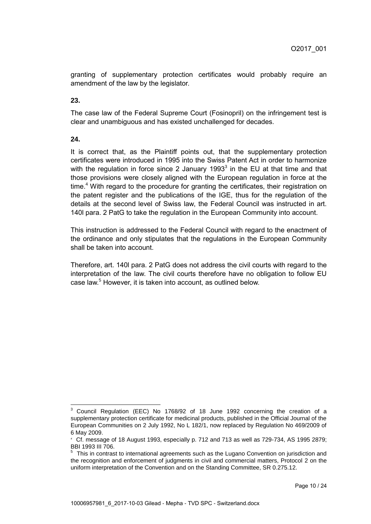granting of supplementary protection certificates would probably require an amendment of the law by the legislator.

**23.**

The case law of the Federal Supreme Court (Fosinopril) on the infringement test is clear and unambiguous and has existed unchallenged for decades.

**24.**

It is correct that, as the Plaintiff points out, that the supplementary protection certificates were introduced in 1995 into the Swiss Patent Act in order to harmonize with the regulation in force since 2 January 1993 $3$  in the EU at that time and that those provisions were closely aligned with the European regulation in force at the time.<sup>4</sup> With regard to the procedure for granting the certificates, their registration on the patent register and the publications of the IGE, thus for the regulation of the details at the second level of Swiss law, the Federal Council was instructed in art. 140l para. 2 PatG to take the regulation in the European Community into account.

This instruction is addressed to the Federal Council with regard to the enactment of the ordinance and only stipulates that the regulations in the European Community shall be taken into account.

Therefore, art. 140l para. 2 PatG does not address the civil courts with regard to the interpretation of the law. The civil courts therefore have no obligation to follow EU case law.<sup>5</sup> However, it is taken into account, as outlined below.

<sup>&</sup>lt;sup>3</sup> Council Regulation (EEC) No 1768/92 of 18 June 1992 concerning the creation of a supplementary protection certificate for medicinal products, published in the Official Journal of the European Communities on 2 July 1992, No L 182/1, now replaced by Regulation No 469/2009 of 6 May 2009.

*<sup>4</sup>* Cf. message of 18 August 1993, especially p. 712 and 713 as well as 729-734, AS 1995 2879; BBI 1993 III 706.

<sup>&</sup>lt;sup>5</sup> This in contrast to international agreements such as the Lugano Convention on jurisdiction and the recognition and enforcement of judgments in civil and commercial matters, Protocol 2 on the uniform interpretation of the Convention and on the Standing Committee, SR 0.275.12.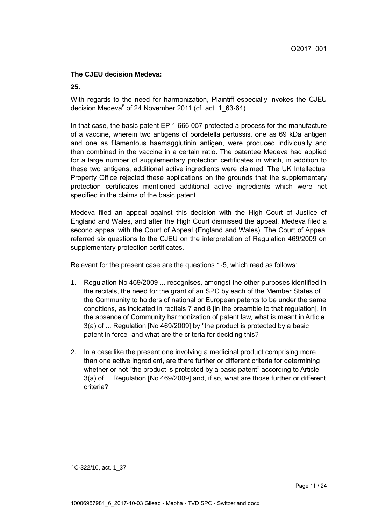### **The CJEU decision Medeva:**

#### **25.**

With regards to the need for harmonization. Plaintiff especially invokes the CJEU decision Medeva<sup>6</sup> of 24 November 2011 (cf. act. 1\_63-64).

In that case, the basic patent EP 1 666 057 protected a process for the manufacture of a vaccine, wherein two antigens of bordetella pertussis, one as 69 kDa antigen and one as filamentous haemagglutinin antigen, were produced individually and then combined in the vaccine in a certain ratio. The patentee Medeva had applied for a large number of supplementary protection certificates in which, in addition to these two antigens, additional active ingredients were claimed. The UK Intellectual Property Office rejected these applications on the grounds that the supplementary protection certificates mentioned additional active ingredients which were not specified in the claims of the basic patent.

Medeva filed an appeal against this decision with the High Court of Justice of England and Wales, and after the High Court dismissed the appeal, Medeva filed a second appeal with the Court of Appeal (England and Wales). The Court of Appeal referred six questions to the CJEU on the interpretation of Regulation 469/2009 on supplementary protection certificates.

Relevant for the present case are the questions 1-5, which read as follows:

- 1. Regulation No 469/2009 ... recognises, amongst the other purposes identified in the recitals, the need for the grant of an SPC by each of the Member States of the Community to holders of national or European patents to be under the same conditions, as indicated in recitals 7 and 8 [in the preamble to that regulation], In the absence of Community harmonization of patent law, what is meant in Article 3(a) of ... Regulation [No 469/2009] by "the product is protected by a basic patent in force" and what are the criteria for deciding this?
- 2. In a case like the present one involving a medicinal product comprising more than one active ingredient, are there further or different criteria for determining whether or not "the product is protected by a basic patent" according to Article 3(a) of ... Regulation [No 469/2009] and, if so, what are those further or different criteria?

 $6$  C-322/10, act. 1\_37.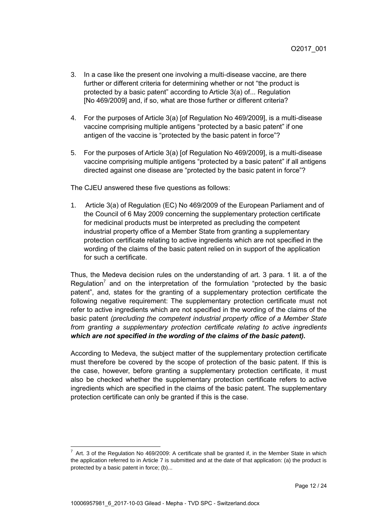- 3. In a case like the present one involving a multi-disease vaccine, are there further or different criteria for determining whether or not "the product is protected by a basic patent" according to Article 3(a) of... Regulation [No 469/2009] and, if so, what are those further or different criteria?
- 4. For the purposes of Article 3(a) [of Regulation No 469/2009], is a multi-disease vaccine comprising multiple antigens "protected by a basic patent" if one antigen of the vaccine is "protected by the basic patent in force"?
- 5. For the purposes of Article 3(a) [of Regulation No 469/2009], is a multi-disease vaccine comprising multiple antigens "protected by a basic patent" if all antigens directed against one disease are "protected by the basic patent in force"?

The CJEU answered these five questions as follows:

1. Article 3(a) of Regulation (EC) No 469/2009 of the European Parliament and of the Council of 6 May 2009 concerning the supplementary protection certificate for medicinal products must be interpreted as precluding the competent industrial property office of a Member State from granting a supplementary protection certificate relating to active ingredients which are not specified in the wording of the claims of the basic patent relied on in support of the application for such a certificate.

Thus, the Medeva decision rules on the understanding of art. 3 para. 1 lit. a of the Regulation<sup>7</sup> and on the interpretation of the formulation "protected by the basic patent", and, states for the granting of a supplementary protection certificate the following negative requirement: The supplementary protection certificate must not refer to active ingredients which are not specified in the wording of the claims of the basic patent *(precluding the competent industrial property office of a Member State from granting a supplementary protection certificate relating to active ingredients which are not specified in the wording of the claims of the basic patent).*

According to Medeva, the subject matter of the supplementary protection certificate must therefore be covered by the scope of protection of the basic patent. If this is the case, however, before granting a supplementary protection certificate, it must also be checked whether the supplementary protection certificate refers to active ingredients which are specified in the claims of the basic patent. The supplementary protection certificate can only be granted if this is the case.

 $\overline{a}$ 

 $7$  Art. 3 of the Regulation No 469/2009: A certificate shall be granted if, in the Member State in which the application referred to in Article 7 is submitted and at the date of that application: (a) the product is protected by a basic patent in force; (b)...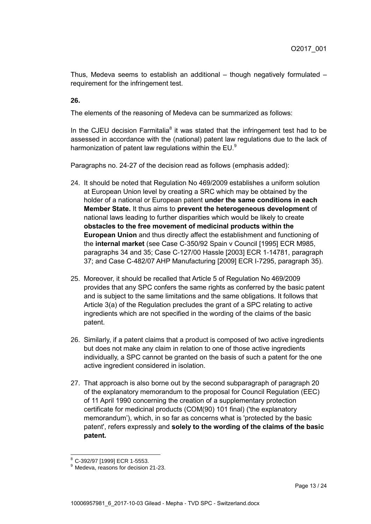Thus, Medeva seems to establish an additional  $-$  though negatively formulated  $$ requirement for the infringement test.

**26.**

The elements of the reasoning of Medeva can be summarized as follows:

In the CJEU decision Farmitalia $<sup>8</sup>$  it was stated that the infringement test had to be</sup> assessed in accordance with the (national) patent law regulations due to the lack of harmonization of patent law regulations within the EU. $9$ 

Paragraphs no. 24-27 of the decision read as follows (emphasis added):

- 24. It should be noted that Regulation No 469/2009 establishes a uniform solution at European Union level by creating a SRC which may be obtained by the holder of a national or European patent **under the same conditions in each Member State.** It thus aims to **prevent the heterogeneous development** of national laws leading to further disparities which would be likely to create **obstacles to the free movement of medicinal products within the European Union** and thus directly affect the establishment and functioning of the **internal market** (see Case C-350/92 Spain v Council [1995] ECR M985, paragraphs 34 and 35; Case C-127/00 Hassle [2003] ECR 1-14781, paragraph 37; and Case C-482/07 AHP Manufacturing [2009] ECR I-7295, paragraph 35).
- 25. Moreover, it should be recalled that Article 5 of Regulation No 469/2009 provides that any SPC confers the same rights as conferred by the basic patent and is subject to the same limitations and the same obligations. It follows that Article 3(a) of the Regulation precludes the grant of a SPC relating to active ingredients which are not specified in the wording of the claims of the basic patent.
- 26. Similarly, if a patent claims that a product is composed of two active ingredients but does not make any claim in relation to one of those active ingredients individually, a SPC cannot be granted on the basis of such a patent for the one active ingredient considered in isolation.
- 27. That approach is also borne out by the second subparagraph of paragraph 20 of the explanatory memorandum to the proposal for Council Regulation (EEC) of 11 April 1990 concerning the creation of a supplementary protection certificate for medicinal products (COM(90) 101 final) ('the explanatory memorandum'), which, in so far as concerns what is 'protected by the basic patent', refers expressly and **solely to the wording of the claims of the basic patent.**

 <sup>8</sup> C-392/97 [1999] ECR 1-5553.

<sup>&</sup>lt;sup>9</sup> Medeva, reasons for decision 21-23.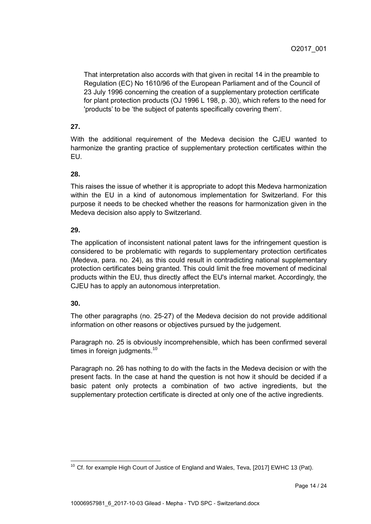That interpretation also accords with that given in recital 14 in the preamble to Regulation (EC) No 1610/96 of the European Parliament and of the Council of 23 July 1996 concerning the creation of a supplementary protection certificate for plant protection products (OJ 1996 L 198, p. 30), which refers to the need for 'products' to be 'the subject of patents specifically covering them'.

# **27.**

With the additional requirement of the Medeva decision the CJEU wanted to harmonize the granting practice of supplementary protection certificates within the EU.

# **28.**

This raises the issue of whether it is appropriate to adopt this Medeva harmonization within the EU in a kind of autonomous implementation for Switzerland. For this purpose it needs to be checked whether the reasons for harmonization given in the Medeva decision also apply to Switzerland.

### **29.**

The application of inconsistent national patent laws for the infringement question is considered to be problematic with regards to supplementary protection certificates (Medeva, para. no. 24), as this could result in contradicting national supplementary protection certificates being granted. This could limit the free movement of medicinal products within the EU, thus directly affect the EU's internal market. Accordingly, the CJEU has to apply an autonomous interpretation.

# **30.**

The other paragraphs (no. 25-27) of the Medeva decision do not provide additional information on other reasons or objectives pursued by the judgement.

Paragraph no. 25 is obviously incomprehensible, which has been confirmed several times in foreign judgments.<sup>10</sup>

Paragraph no. 26 has nothing to do with the facts in the Medeva decision or with the present facts. In the case at hand the question is not how it should be decided if a basic patent only protects a combination of two active ingredients, but the supplementary protection certificate is directed at only one of the active ingredients.

  $10$  Cf. for example High Court of Justice of England and Wales, Teva, [2017] EWHC 13 (Pat).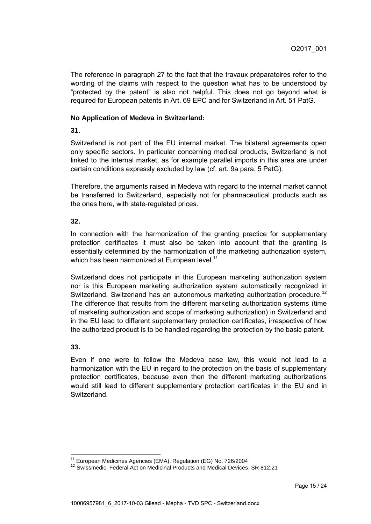The reference in paragraph 27 to the fact that the travaux préparatoires refer to the wording of the claims with respect to the question what has to be understood by "protected by the patent" is also not helpful. This does not go beyond what is required for European patents in Art. 69 EPC and for Switzerland in Art. 51 PatG.

#### **No Application of Medeva in Switzerland:**

**31.**

Switzerland is not part of the EU internal market. The bilateral agreements open only specific sectors. In particular concerning medical products, Switzerland is not linked to the internal market, as for example parallel imports in this area are under certain conditions expressly excluded by law (cf. art. 9a para. 5 PatG).

Therefore, the arguments raised in Medeva with regard to the internal market cannot be transferred to Switzerland, especially not for pharmaceutical products such as the ones here, with state-regulated prices.

#### **32.**

In connection with the harmonization of the granting practice for supplementary protection certificates it must also be taken into account that the granting is essentially determined by the harmonization of the marketing authorization system, which has been harmonized at European level.<sup>11</sup>

Switzerland does not participate in this European marketing authorization system nor is this European marketing authorization system automatically recognized in Switzerland. Switzerland has an autonomous marketing authorization procedure.<sup>12</sup> The difference that results from the different marketing authorization systems (time of marketing authorization and scope of marketing authorization) in Switzerland and in the EU lead to different supplementary protection certificates, irrespective of how the authorized product is to be handled regarding the protection by the basic patent.

#### **33.**

 $\overline{a}$ 

Even if one were to follow the Medeva case law, this would not lead to a harmonization with the EU in regard to the protection on the basis of supplementary protection certificates, because even then the different marketing authorizations would still lead to different supplementary protection certificates in the EU and in Switzerland.

 $11$  European Medicines Agencies (EMA), Regulation (EG) No. 726/2004

<sup>&</sup>lt;sup>12</sup> Swissmedic, Federal Act on Medicinal Products and Medical Devices, SR 812.21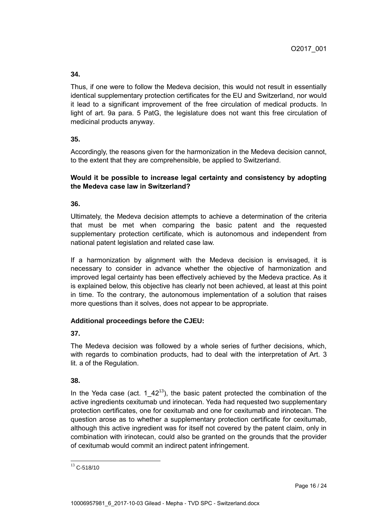Thus, if one were to follow the Medeva decision, this would not result in essentially identical supplementary protection certificates for the EU and Switzerland, nor would it lead to a significant improvement of the free circulation of medical products. In light of art. 9a para. 5 PatG, the legislature does not want this free circulation of medicinal products anyway.

# **35.**

Accordingly, the reasons given for the harmonization in the Medeva decision cannot, to the extent that they are comprehensible, be applied to Switzerland.

### **Would it be possible to increase legal certainty and consistency by adopting the Medeva case law in Switzerland?**

**36.**

Ultimately, the Medeva decision attempts to achieve a determination of the criteria that must be met when comparing the basic patent and the requested supplementary protection certificate, which is autonomous and independent from national patent legislation and related case law.

If a harmonization by alignment with the Medeva decision is envisaged, it is necessary to consider in advance whether the objective of harmonization and improved legal certainty has been effectively achieved by the Medeva practice. As it is explained below, this objective has clearly not been achieved, at least at this point in time. To the contrary, the autonomous implementation of a solution that raises more questions than it solves, does not appear to be appropriate.

# **Additional proceedings before the CJEU:**

**37.**

The Medeva decision was followed by a whole series of further decisions, which, with regards to combination products, had to deal with the interpretation of Art. 3 lit. a of the Regulation.

# **38.**

In the Yeda case (act. 1  $42^{13}$ ), the basic patent protected the combination of the active ingredients cexitumab und irinotecan. Yeda had requested two supplementary protection certificates, one for cexitumab and one for cexitumab and irinotecan. The question arose as to whether a supplementary protection certificate for cexitumab, although this active ingredient was for itself not covered by the patent claim, only in combination with irinotecan, could also be granted on the grounds that the provider of cexitumab would commit an indirect patent infringement.

  $13$  C-518/10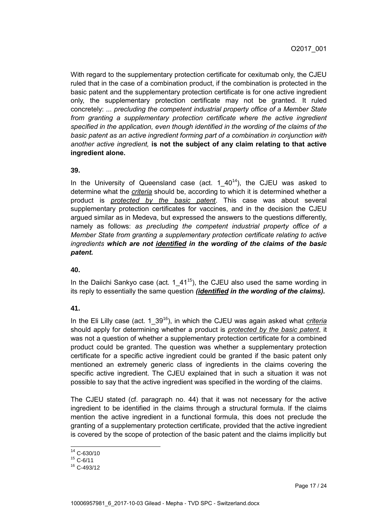With regard to the supplementary protection certificate for cexitumab only, the CJEU ruled that in the case of a combination product, if the combination is protected in the basic patent and the supplementary protection certificate is for one active ingredient only, the supplementary protection certificate may not be granted. It ruled concretely: ... *precluding the competent industrial property office of a Member State*  from granting a supplementary protection certificate where the active ingredient *specified in the application, even though identified in the wording of the claims of the basic patent as an active ingredient forming part of a combination in conjunction with another active ingredient,* **is not the subject of any claim relating to that active ingredient alone.**

#### **39.**

In the University of Queensland case (act. 1  $40^{14}$ ), the CJEU was asked to determine what the *criteria* should be, according to which it is determined whether a product is *protected by the basic patent*. This case was about several supplementary protection certificates for vaccines, and in the decision the CJEU argued similar as in Medeva, but expressed the answers to the questions differently, namely as follows: *as precluding the competent industrial property office of a Member State from granting a supplementary protection certificate relating to active ingredients which are not identified in the wording of the claims of the basic patent.*

#### **40.**

In the Daiichi Sankyo case (act. 1–41<sup>15</sup>), the CJEU also used the same wording in its reply to essentially the same question *(identified in the wording of the claims).*

#### **41.**

In the Eli Lilly case (act. 1\_39<sup>16</sup>), in which the CJEU was again asked what *criteria* should apply for determining whether a product is *protected by the basic patent*, it was not a question of whether a supplementary protection certificate for a combined product could be granted. The question was whether a supplementary protection certificate for a specific active ingredient could be granted if the basic patent only mentioned an extremely generic class of ingredients in the claims covering the specific active ingredient. The CJEU explained that in such a situation it was not possible to say that the active ingredient was specified in the wording of the claims.

The CJEU stated (cf. paragraph no. 44) that it was not necessary for the active ingredient to be identified in the claims through a structural formula. If the claims mention the active ingredient in a functional formula, this does not preclude the granting of a supplementary protection certificate, provided that the active ingredient is covered by the scope of protection of the basic patent and the claims implicitly but

 <sup>14</sup> C-630/10

 $15$  C-6/11

 $16$  C-493/12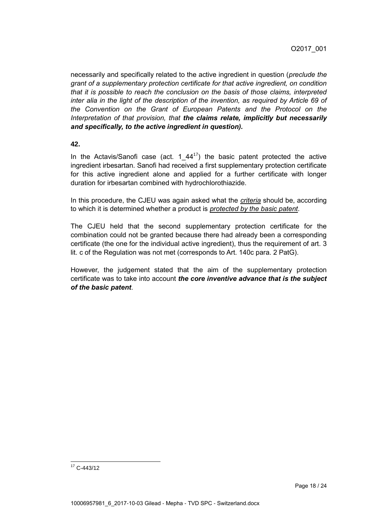necessarily and specifically related to the active ingredient in question (*preclude the grant of a supplementary protection certificate for that active ingredient, on condition that it is possible to reach the conclusion on the basis of those claims, interpreted inter alia in the light of the description of the invention, as required by Article 69 of the Convention on the Grant of European Patents and the Protocol on the Interpretation of that provision, that the claims relate, implicitly but necessarily and specifically, to the active ingredient in question).*

#### **42.**

In the Actavis/Sanofi case (act. 1  $44^{17}$ ) the basic patent protected the active ingredient irbesartan. Sanofi had received a first supplementary protection certificate for this active ingredient alone and applied for a further certificate with longer duration for irbesartan combined with hydrochlorothiazide.

In this procedure, the CJEU was again asked what the *criteria* should be, according to which it is determined whether a product is *protected by the basic patent*.

The CJEU held that the second supplementary protection certificate for the combination could not be granted because there had already been a corresponding certificate (the one for the individual active ingredient), thus the requirement of art. 3 lit. c of the Regulation was not met (corresponds to Art. 140c para. 2 PatG).

However, the judgement stated that the aim of the supplementary protection certificate was to take into account *the core inventive advance that is the subject of the basic patent*.

 <sup>17</sup> C-443/12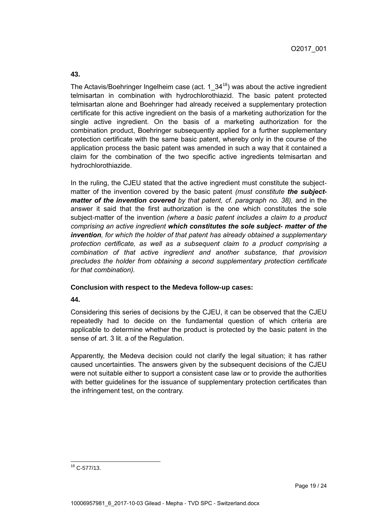The Actavis/Boehringer Ingelheim case (act. 1  $34^{18}$ ) was about the active ingredient telmisartan in combination with hydrochlorothiazid. The basic patent protected telmisartan alone and Boehringer had already received a supplementary protection certificate for this active ingredient on the basis of a marketing authorization for the single active ingredient. On the basis of a marketing authorization for the combination product, Boehringer subsequently applied for a further supplementary protection certificate with the same basic patent, whereby only in the course of the application process the basic patent was amended in such a way that it contained a claim for the combination of the two specific active ingredients telmisartan and hydrochlorothiazide.

In the ruling, the CJEU stated that the active ingredient must constitute the subjectmatter of the invention covered by the basic patent *(must constitute the subjectmatter of the invention covered by that patent, cf. paragraph no. 38),* and in the answer it said that the first authorization is the one which constitutes the sole subject-matter of the invention *(where a basic patent includes a claim to a product comprising an active ingredient which constitutes the sole subject- matter of the invention, for which the holder of that patent has already obtained a supplementary protection certificate, as well as a subsequent claim to a product comprising a combination of that active ingredient and another substance, that provision precludes the holder from obtaining a second supplementary protection certificate for that combination).*

#### **Conclusion with respect to the Medeva follow-up cases:**

#### **44.**

Considering this series of decisions by the CJEU, it can be observed that the CJEU repeatedly had to decide on the fundamental question of which criteria are applicable to determine whether the product is protected by the basic patent in the sense of art. 3 lit. a of the Regulation.

Apparently, the Medeva decision could not clarify the legal situation; it has rather caused uncertainties. The answers given by the subsequent decisions of the CJEU were not suitable either to support a consistent case law or to provide the authorities with better guidelines for the issuance of supplementary protection certificates than the infringement test, on the contrary.

  $18$  C-577/13.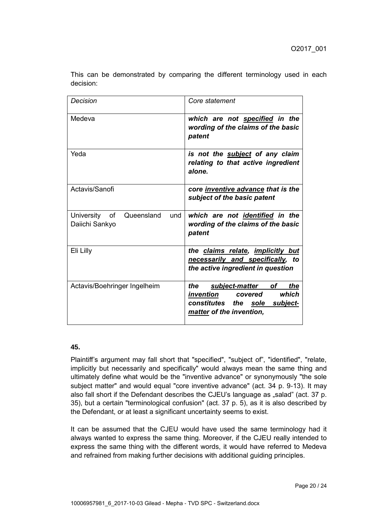| Decision                                             | Core statement                                                                                                             |
|------------------------------------------------------|----------------------------------------------------------------------------------------------------------------------------|
| Medeva                                               | which are not specified in the<br>wording of the claims of the basic<br>patent                                             |
| Yeda                                                 | is not the subject of any claim<br>relating to that active ingredient<br>alone.                                            |
| Actavis/Sanofi                                       | core inventive advance that is the<br>subject of the basic patent                                                          |
| University of<br>Queensland<br>und<br>Daiichi Sankyo | which are not identified in the<br>wording of the claims of the basic<br>patent                                            |
| Eli Lilly                                            | the claims relate, implicitly but<br>necessarily and specifically, to<br>the active ingredient in question                 |
| Actavis/Boehringer Ingelheim                         | the<br>subject-matter of<br>the<br>which<br>invention covered<br>constitutes the sole subject-<br>matter of the invention, |

This can be demonstrated by comparing the different terminology used in each decision:

# **45.**

Plaintiff's argument may fall short that "specified", "subject of", "identified", "relate, implicitly but necessarily and specifically" would always mean the same thing and ultimately define what would be the "inventive advance" or synonymously "the sole subject matter" and would equal "core inventive advance" (act. 34 p. 9-13). It may also fall short if the Defendant describes the CJEU's language as "salad" (act. 37 p. 35), but a certain "terminological confusion" (act. 37 p. 5), as it is also described by the Defendant, or at least a significant uncertainty seems to exist.

It can be assumed that the CJEU would have used the same terminology had it always wanted to express the same thing. Moreover, if the CJEU really intended to express the same thing with the different words, it would have referred to Medeva and refrained from making further decisions with additional guiding principles.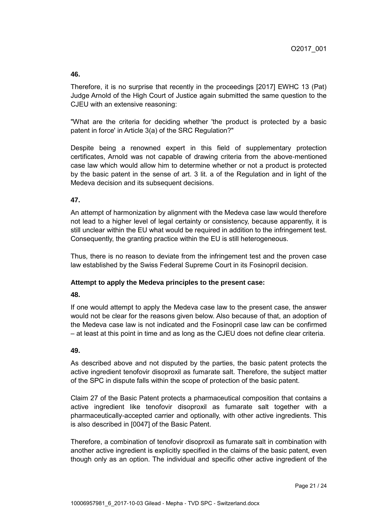Therefore, it is no surprise that recently in the proceedings [2017] EWHC 13 (Pat) Judge Arnold of the High Court of Justice again submitted the same question to the CJEU with an extensive reasoning:

"What are the criteria for deciding whether 'the product is protected by a basic patent in force' in Article 3(a) of the SRC Regulation?"

Despite being a renowned expert in this field of supplementary protection certificates, Arnold was not capable of drawing criteria from the above-mentioned case law which would allow him to determine whether or not a product is protected by the basic patent in the sense of art. 3 lit. a of the Regulation and in light of the Medeva decision and its subsequent decisions.

### **47.**

An attempt of harmonization by alignment with the Medeva case law would therefore not lead to a higher level of legal certainty or consistency, because apparently, it is still unclear within the EU what would be required in addition to the infringement test. Consequently, the granting practice within the EU is still heterogeneous.

Thus, there is no reason to deviate from the infringement test and the proven case law established by the Swiss Federal Supreme Court in its Fosinopril decision.

#### **Attempt to apply the Medeva principles to the present case:**

#### **48.**

If one would attempt to apply the Medeva case law to the present case, the answer would not be clear for the reasons given below. Also because of that, an adoption of the Medeva case law is not indicated and the Fosinopril case law can be confirmed – at least at this point in time and as long as the CJEU does not define clear criteria.

#### **49.**

As described above and not disputed by the parties, the basic patent protects the active ingredient tenofovir disoproxil as fumarate salt. Therefore, the subject matter of the SPC in dispute falls within the scope of protection of the basic patent.

Claim 27 of the Basic Patent protects a pharmaceutical composition that contains a active ingredient like tenofovir disoproxil as fumarate salt together with a pharmaceutically-accepted carrier and optionally, with other active ingredients. This is also described in [0047] of the Basic Patent.

Therefore, a combination of tenofovir disoproxil as fumarate salt in combination with another active ingredient is explicitly specified in the claims of the basic patent, even though only as an option. The individual and specific other active ingredient of the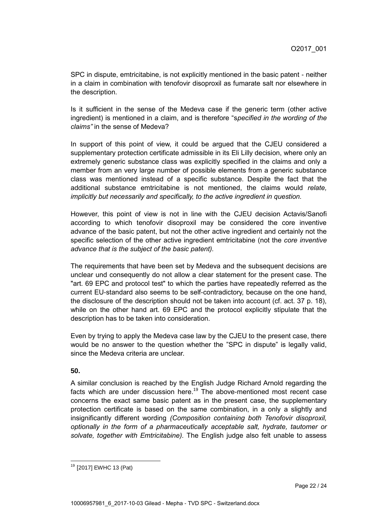SPC in dispute, emtricitabine, is not explicitly mentioned in the basic patent - neither in a claim in combination with tenofovir disoproxil as fumarate salt nor elsewhere in the description.

Is it sufficient in the sense of the Medeva case if the generic term (other active ingredient) is mentioned in a claim, and is therefore "s*pecified in the wording of the claims"* in the sense of Medeva?

In support of this point of view, it could be argued that the CJEU considered a supplementary protection certificate admissible in its Eli Lilly decision, where only an extremely generic substance class was explicitly specified in the claims and only a member from an very large number of possible elements from a generic substance class was mentioned instead of a specific substance. Despite the fact that the additional substance emtricitabine is not mentioned, the claims would *relate, implicitly but necessarily and specifically, to the active ingredient in question.*

However, this point of view is not in line with the CJEU decision Actavis/Sanofi according to which tenofovir disoproxil may be considered the core inventive advance of the basic patent, but not the other active ingredient and certainly not the specific selection of the other active ingredient emtricitabine (not the *core inventive advance that is the subject of the basic patent).*

The requirements that have been set by Medeva and the subsequent decisions are unclear und consequently do not allow a clear statement for the present case. The "art. 69 EPC and protocol test" to which the parties have repeatedly referred as the current EU-standard also seems to be self-contradictory, because on the one hand, the disclosure of the description should not be taken into account (cf. act. 37 p. 18), while on the other hand art. 69 EPC and the protocol explicitly stipulate that the description has to be taken into consideration.

Even by trying to apply the Medeva case law by the CJEU to the present case, there would be no answer to the question whether the "SPC in dispute" is legally valid, since the Medeva criteria are unclear.

**50.**

 $\overline{a}$ 

A similar conclusion is reached by the English Judge Richard Arnold regarding the facts which are under discussion here.<sup>19</sup> The above-mentioned most recent case concerns the exact same basic patent as in the present case, the supplementary protection certificate is based on the same combination, in a only a slightly and insignificantly different wording *(Composition containing both Tenofovir disoproxil, optionally in the form of a pharmaceutically acceptable salt, hydrate, tautomer or solvate, together with Emtricitabine).* The English judge also felt unable to assess

<sup>19</sup> [2017] EWHC 13 (Pat)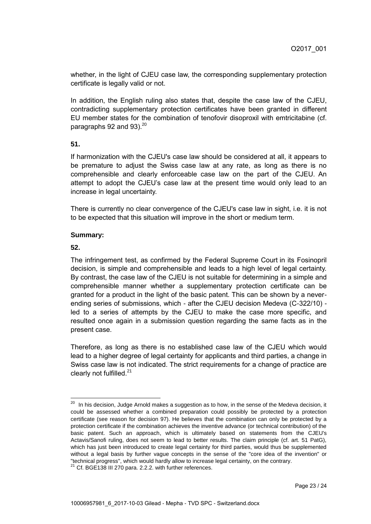whether, in the light of CJEU case law, the corresponding supplementary protection certificate is legally valid or not.

In addition, the English ruling also states that, despite the case law of the CJEU, contradicting supplementary protection certificates have been granted in different EU member states for the combination of tenofovir disoproxil with emtricitabine (cf. paragraphs 92 and 93). $20^{\circ}$ 

#### **51.**

If harmonization with the CJEU's case law should be considered at all, it appears to be premature to adjust the Swiss case law at any rate, as long as there is no comprehensible and clearly enforceable case law on the part of the CJEU. An attempt to adopt the CJEU's case law at the present time would only lead to an increase in legal uncertainty.

There is currently no clear convergence of the CJEU's case law in sight, i.e. it is not to be expected that this situation will improve in the short or medium term.

### **Summary:**

### **52.**

The infringement test, as confirmed by the Federal Supreme Court in its Fosinopril decision, is simple and comprehensible and leads to a high level of legal certainty. By contrast, the case law of the CJEU is not suitable for determining in a simple and comprehensible manner whether a supplementary protection certificate can be granted for a product in the light of the basic patent. This can be shown by a neverending series of submissions, which - after the CJEU decision Medeva (C-322/10) led to a series of attempts by the CJEU to make the case more specific, and resulted once again in a submission question regarding the same facts as in the present case.

Therefore, as long as there is no established case law of the CJEU which would lead to a higher degree of legal certainty for applicants and third parties, a change in Swiss case law is not indicated. The strict requirements for a change of practice are clearly not fulfilled.<sup>21</sup>

 $20$  In his decision, Judge Arnold makes a suggestion as to how, in the sense of the Medeva decision, it could be assessed whether a combined preparation could possibly be protected by a protection certificate (see reason for decision 97). He believes that the combination can only be protected by a protection certificate if the combination achieves the inventive advance (or technical contribution) of the basic patent. Such an approach, which is ultimately based on statements from the CJEU's Actavis/Sanofi ruling, does not seem to lead to better results. The claim principle (cf. art. 51 PatG), which has just been introduced to create legal certainty for third parties, would thus be supplemented without a legal basis by further vague concepts in the sense of the "core idea of the invention" or "technical progress", which would hardly allow to increase legal certainty, on the contrary.

<sup>&</sup>lt;sup>21</sup> Cf. BGE138 III 270 para. 2.2.2. with further references.